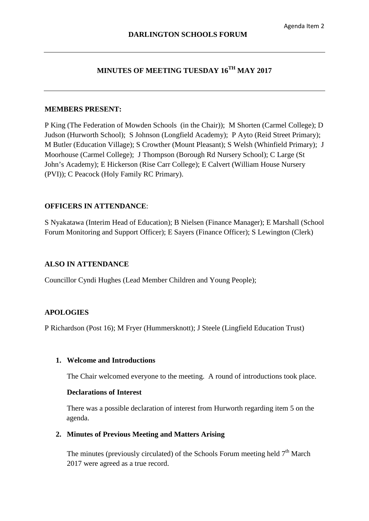## **MINUTES OF MEETING TUESDAY 16TH MAY 2017**

#### **MEMBERS PRESENT:**

P King (The Federation of Mowden Schools (in the Chair)); M Shorten (Carmel College); D Judson (Hurworth School); S Johnson (Longfield Academy); P Ayto (Reid Street Primary); M Butler (Education Village); S Crowther (Mount Pleasant); S Welsh (Whinfield Primary); J Moorhouse (Carmel College); J Thompson (Borough Rd Nursery School); C Large (St John's Academy); E Hickerson (Rise Carr College); E Calvert (William House Nursery (PVI)); C Peacock (Holy Family RC Primary).

## **OFFICERS IN ATTENDANCE**:

S Nyakatawa (Interim Head of Education); B Nielsen (Finance Manager); E Marshall (School Forum Monitoring and Support Officer); E Sayers (Finance Officer); S Lewington (Clerk)

#### **ALSO IN ATTENDANCE**

Councillor Cyndi Hughes (Lead Member Children and Young People);

## **APOLOGIES**

P Richardson (Post 16); M Fryer (Hummersknott); J Steele (Lingfield Education Trust)

#### **1. Welcome and Introductions**

The Chair welcomed everyone to the meeting. A round of introductions took place.

#### **Declarations of Interest**

There was a possible declaration of interest from Hurworth regarding item 5 on the agenda.

#### **2. Minutes of Previous Meeting and Matters Arising**

The minutes (previously circulated) of the Schools Forum meeting held  $7<sup>th</sup>$  March 2017 were agreed as a true record.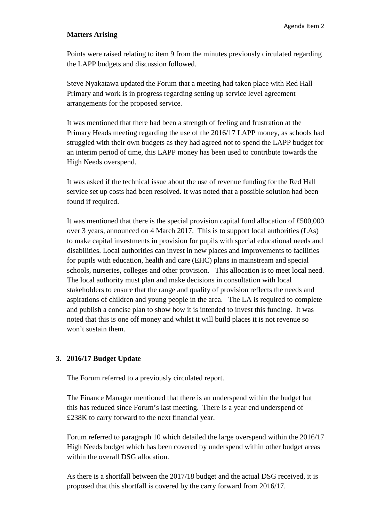#### **Matters Arising**

Points were raised relating to item 9 from the minutes previously circulated regarding the LAPP budgets and discussion followed.

Steve Nyakatawa updated the Forum that a meeting had taken place with Red Hall Primary and work is in progress regarding setting up service level agreement arrangements for the proposed service.

It was mentioned that there had been a strength of feeling and frustration at the Primary Heads meeting regarding the use of the 2016/17 LAPP money, as schools had struggled with their own budgets as they had agreed not to spend the LAPP budget for an interim period of time, this LAPP money has been used to contribute towards the High Needs overspend.

It was asked if the technical issue about the use of revenue funding for the Red Hall service set up costs had been resolved. It was noted that a possible solution had been found if required.

It was mentioned that there is the special provision capital fund allocation of £500,000 over 3 years, announced on 4 March 2017. This is to support local authorities (LAs) to make capital investments in provision for pupils with special educational needs and disabilities. Local authorities can invest in new places and improvements to facilities for pupils with education, health and care (EHC) plans in mainstream and special schools, nurseries, colleges and other provision. This allocation is to meet local need. The local authority must plan and make decisions in consultation with local stakeholders to ensure that the range and quality of provision reflects the needs and aspirations of children and young people in the area. The LA is required to complete and publish a concise plan to show how it is intended to invest this funding. It was noted that this is one off money and whilst it will build places it is not revenue so won't sustain them.

## **3. 2016/17 Budget Update**

The Forum referred to a previously circulated report.

The Finance Manager mentioned that there is an underspend within the budget but this has reduced since Forum's last meeting. There is a year end underspend of £238K to carry forward to the next financial year.

Forum referred to paragraph 10 which detailed the large overspend within the 2016/17 High Needs budget which has been covered by underspend within other budget areas within the overall DSG allocation.

As there is a shortfall between the 2017/18 budget and the actual DSG received, it is proposed that this shortfall is covered by the carry forward from 2016/17.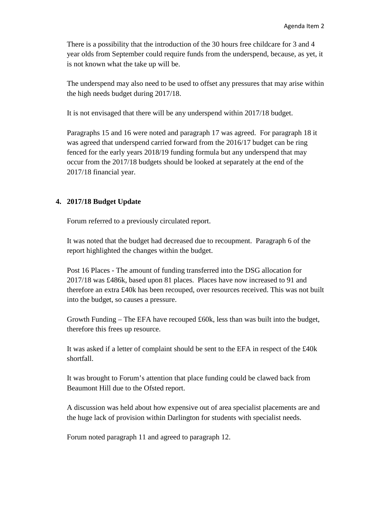There is a possibility that the introduction of the 30 hours free childcare for 3 and 4 year olds from September could require funds from the underspend, because, as yet, it is not known what the take up will be.

The underspend may also need to be used to offset any pressures that may arise within the high needs budget during 2017/18.

It is not envisaged that there will be any underspend within 2017/18 budget.

Paragraphs 15 and 16 were noted and paragraph 17 was agreed. For paragraph 18 it was agreed that underspend carried forward from the 2016/17 budget can be ring fenced for the early years 2018/19 funding formula but any underspend that may occur from the 2017/18 budgets should be looked at separately at the end of the 2017/18 financial year.

## **4. 2017/18 Budget Update**

Forum referred to a previously circulated report.

It was noted that the budget had decreased due to recoupment. Paragraph 6 of the report highlighted the changes within the budget.

Post 16 Places - The amount of funding transferred into the DSG allocation for 2017/18 was £486k, based upon 81 places. Places have now increased to 91 and therefore an extra £40k has been recouped, over resources received. This was not built into the budget, so causes a pressure.

Growth Funding – The EFA have recouped £60k, less than was built into the budget, therefore this frees up resource.

It was asked if a letter of complaint should be sent to the EFA in respect of the £40k shortfall.

It was brought to Forum's attention that place funding could be clawed back from Beaumont Hill due to the Ofsted report.

A discussion was held about how expensive out of area specialist placements are and the huge lack of provision within Darlington for students with specialist needs.

Forum noted paragraph 11 and agreed to paragraph 12.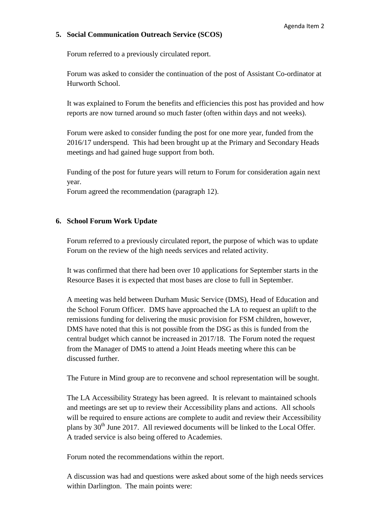## **5. Social Communication Outreach Service (SCOS)**

Forum referred to a previously circulated report.

Forum was asked to consider the continuation of the post of Assistant Co-ordinator at Hurworth School.

It was explained to Forum the benefits and efficiencies this post has provided and how reports are now turned around so much faster (often within days and not weeks).

Forum were asked to consider funding the post for one more year, funded from the 2016/17 underspend. This had been brought up at the Primary and Secondary Heads meetings and had gained huge support from both.

Funding of the post for future years will return to Forum for consideration again next year.

Forum agreed the recommendation (paragraph 12).

## **6. School Forum Work Update**

Forum referred to a previously circulated report, the purpose of which was to update Forum on the review of the high needs services and related activity.

It was confirmed that there had been over 10 applications for September starts in the Resource Bases it is expected that most bases are close to full in September.

A meeting was held between Durham Music Service (DMS), Head of Education and the School Forum Officer. DMS have approached the LA to request an uplift to the remissions funding for delivering the music provision for FSM children, however, DMS have noted that this is not possible from the DSG as this is funded from the central budget which cannot be increased in 2017/18. The Forum noted the request from the Manager of DMS to attend a Joint Heads meeting where this can be discussed further.

The Future in Mind group are to reconvene and school representation will be sought.

The LA Accessibility Strategy has been agreed. It is relevant to maintained schools and meetings are set up to review their Accessibility plans and actions. All schools will be required to ensure actions are complete to audit and review their Accessibility plans by  $30<sup>th</sup>$  June 2017. All reviewed documents will be linked to the Local Offer. A traded service is also being offered to Academies.

Forum noted the recommendations within the report.

A discussion was had and questions were asked about some of the high needs services within Darlington. The main points were: